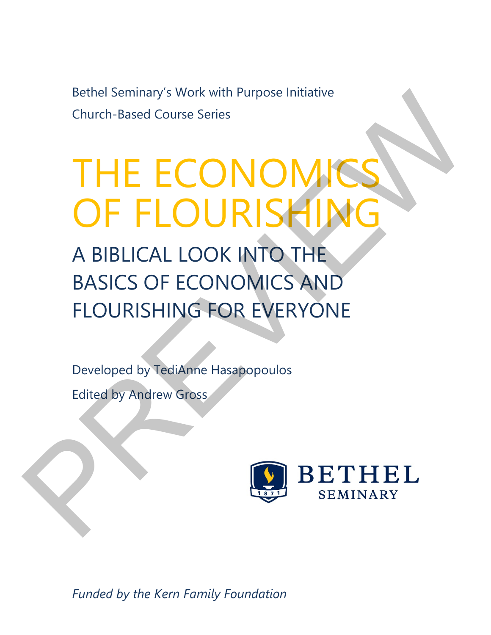Bethel Seminary's Work with Purpose Initiative Church-Based Course Series

# THE ECONOMI OF FLOURISHIN Bethel Seminary's Work with Purpose Initiative<br>Church-Based Course Series<br>
THE ECONOMICS HIMG<br>
A BIBLICAL LOOK INTO THE<br>
BASICS OF ECONOMICS AND<br>
FLOURISHING FOR EVERYONE<br>
Developed by Tedianne Hasapopoulos<br>
Edited by Andr

A BIBLICAL LOOK INTO THE BASICS OF ECONOMICS AND FLOURISHING FOR EVERYONE

Developed by TediAnne Hasapopoulos

Edited by Andrew Gross



*Funded by the Kern Family Foundation*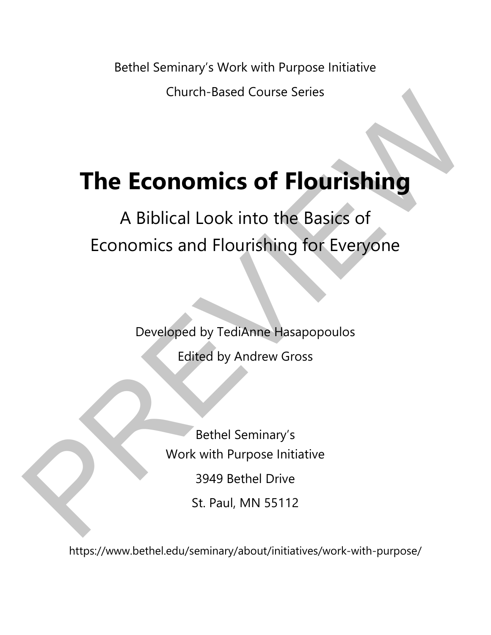Bethel Seminary's Work with Purpose Initiative

Church-Based Course Series

# **The Economics of Flourishing**

# A Biblical Look into the Basics of Economics and Flourishing for Everyone Church-Based Course Series<br>
A Biblical Look into the Basics of<br>
Economics and Flourishing for Everyone<br>
Developed by TediAnne Hasapopoulos<br>
Edited by Andrew Gross<br>
Bethel Seminary's<br>
Work with Purpose Initiative<br>
3949 Beth

Developed by TediAnne Hasapopoulos Edited by Andrew Gross

> Bethel Seminary's Work with Purpose Initiative 3949 Bethel Drive St. Paul, MN 55112

https://www.bethel.edu/seminary/about/initiatives/work-with-purpose/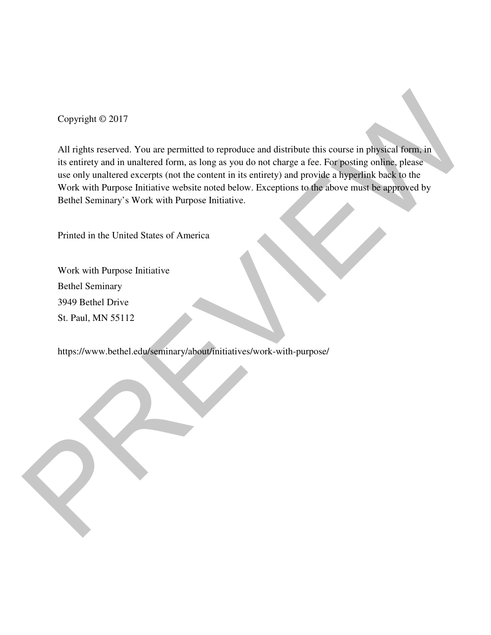Copyright © 2017

All rights reserved. You are permitted to reproduce and distribute this course in physical form, in its entirety and in unaltered form, as long as you do not charge a fee. For posting online, please use only unaltered excerpts (not the content in its entirety) and provide a hyperlink back to the Work with Purpose Initiative website noted below. Exceptions to the above must be approved by Bethel Seminary's Work with Purpose Initiative. Copyright © 2017<br>
All rights reserved. You are permitted to reproduce and distribute this course in priysical form, in<br>
its criticy and in unaltered store pays on the content in its enirety) and provide a hyperfinal book t

Printed in the United States of America

Work with Purpose Initiative Bethel Seminary 3949 Bethel Drive St. Paul, MN 55112

https://www.bethel.edu/seminary/about/initiatives/work-with-purpose/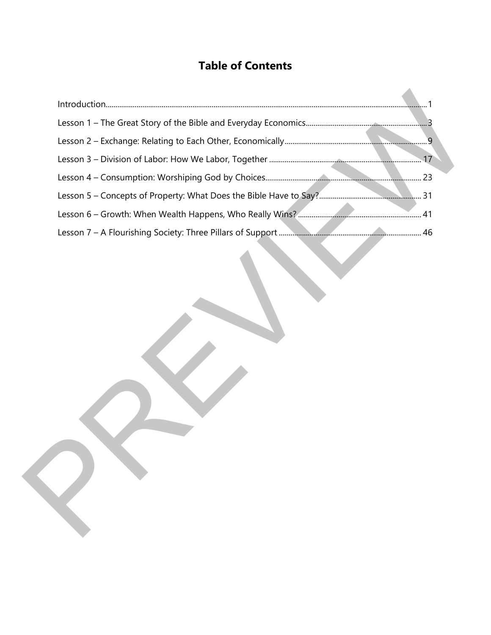# **Table of Contents**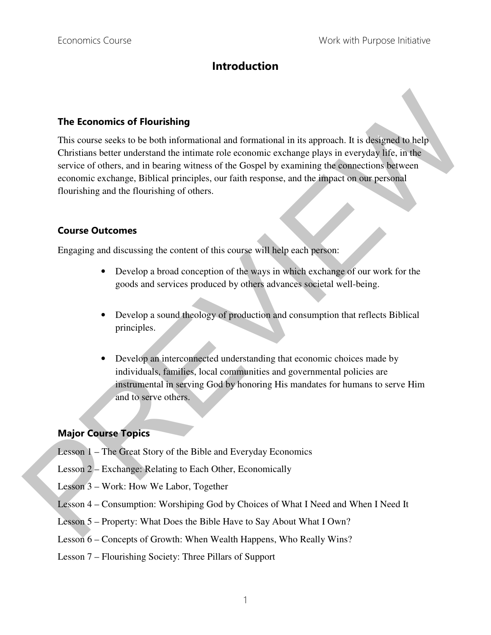## **Introduction**

### **The Economics of Flourishing**

This course seeks to be both informational and formational in its approach. It is designed to help Christians better understand the intimate role economic exchange plays in everyday life, in the service of others, and in bearing witness of the Gospel by examining the connections between economic exchange, Biblical principles, our faith response, and the impact on our personal flourishing and the flourishing of others. The Economics of Flourishing<br>
This connes secks to be both informational and formational in is approach. It is designed to help<br>
Christians better understand the intimate role economic exchange plays in everyday Me, in the

### **Course Outcomes**

Engaging and discussing the content of this course will help each person:

- Develop a broad conception of the ways in which exchange of our work for the goods and services produced by others advances societal well-being.
- Develop a sound theology of production and consumption that reflects Biblical principles.
- Develop an interconnected understanding that economic choices made by individuals, families, local communities and governmental policies are instrumental in serving God by honoring His mandates for humans to serve Him and to serve others.

### **Major Course Topics**

- Lesson 1 The Great Story of the Bible and Everyday Economics
- Lesson 2 Exchange: Relating to Each Other, Economically
- Lesson 3 Work: How We Labor, Together
- Lesson 4 Consumption: Worshiping God by Choices of What I Need and When I Need It
- Lesson 5 Property: What Does the Bible Have to Say About What I Own?
- Lesson 6 Concepts of Growth: When Wealth Happens, Who Really Wins?
- Lesson 7 Flourishing Society: Three Pillars of Support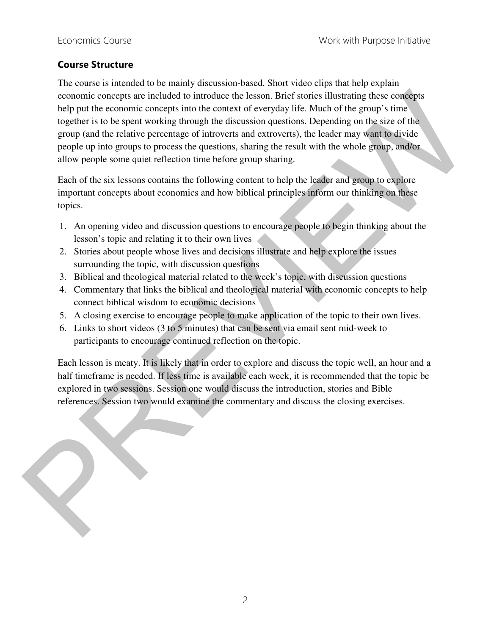### **Course Structure**

The course is intended to be mainly discussion-based. Short video clips that help explain economic concepts are included to introduce the lesson. Brief stories illustrating these concepts help put the economic concepts into the context of everyday life. Much of the group's time together is to be spent working through the discussion questions. Depending on the size of the group (and the relative percentage of introverts and extroverts), the leader may want to divide people up into groups to process the questions, sharing the result with the whole group, and/or allow people some quiet reflection time before group sharing. exeromic concepts are leabled to introduce the lesson. Brief stories illustrating these consideration per the exert of every stime the present spectra is to exert to every stime to general to the spectra is to be spent wor

Each of the six lessons contains the following content to help the leader and group to explore important concepts about economics and how biblical principles inform our thinking on these topics.

- 1. An opening video and discussion questions to encourage people to begin thinking about the lesson's topic and relating it to their own lives
- 2. Stories about people whose lives and decisions illustrate and help explore the issues surrounding the topic, with discussion questions
- 3. Biblical and theological material related to the week's topic, with discussion questions
- 4. Commentary that links the biblical and theological material with economic concepts to help connect biblical wisdom to economic decisions
- 5. A closing exercise to encourage people to make application of the topic to their own lives.
- 6. Links to short videos (3 to 5 minutes) that can be sent via email sent mid-week to participants to encourage continued reflection on the topic.

Each lesson is meaty. It is likely that in order to explore and discuss the topic well, an hour and a half timeframe is needed. If less time is available each week, it is recommended that the topic be explored in two sessions. Session one would discuss the introduction, stories and Bible references. Session two would examine the commentary and discuss the closing exercises.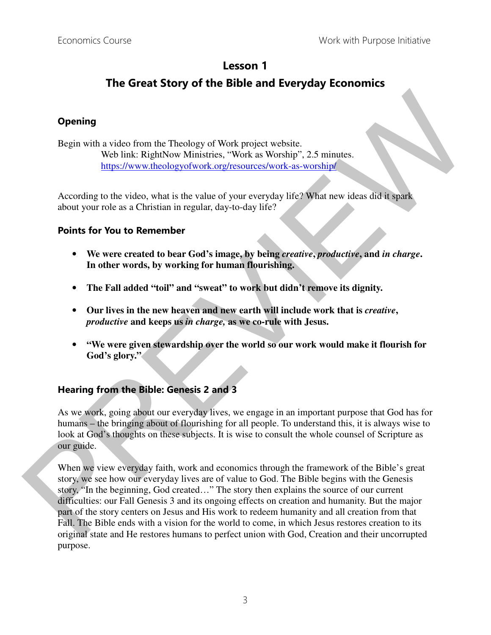## **Lesson 1**

# **The Great Story of the Bible and Everyday Economics**

### **Opening**

Begin with a video from the Theology of Work project website. Web link: RightNow Ministries, "Work as Worship", 2.5 minutes. https://www.theologyofwork.org/resources/work-as-worship/

According to the video, what is the value of your everyday life? What new ideas did it spark about your role as a Christian in regular, day-to-day life?

### **Points for You to Remember**

- **We were created to bear God's image, by being** *creative***,** *productive***, and** *in charge***. In other words, by working for human flourishing.**
- **The Fall added "toil" and "sweat" to work but didn't remove its dignity.**
- **Our lives in the new heaven and new earth will include work that is** *creative***,**  *productive* **and keeps us** *in charge,* **as we co-rule with Jesus.**
- **"We were given stewardship over the world so our work would make it flourish for God's glory."**

### **Hearing from the Bible: Genesis 2 and 3**

As we work, going about our everyday lives, we engage in an important purpose that God has for humans – the bringing about of flourishing for all people. To understand this, it is always wise to look at God's thoughts on these subjects. It is wise to consult the whole counsel of Scripture as our guide.

When we view everyday faith, work and economics through the framework of the Bible's great story, we see how our everyday lives are of value to God. The Bible begins with the Genesis story, "In the beginning, God created…" The story then explains the source of our current difficulties: our Fall Genesis 3 and its ongoing effects on creation and humanity. But the major part of the story centers on Jesus and His work to redeem humanity and all creation from that Fall. The Bible ends with a vision for the world to come, in which Jesus restores creation to its original state and He restores humans to perfect union with God, Creation and their uncorrupted purpose. **Opening**<br>
Hegrin with a video from the Theology of Work project website.<br>
Web link: RightNow Ministries, "Work as Worship", 2.5 minutes.<br>
<u>https://worw.theology.ofwork.org/tresources/work.as worship!</u><br>
According to the v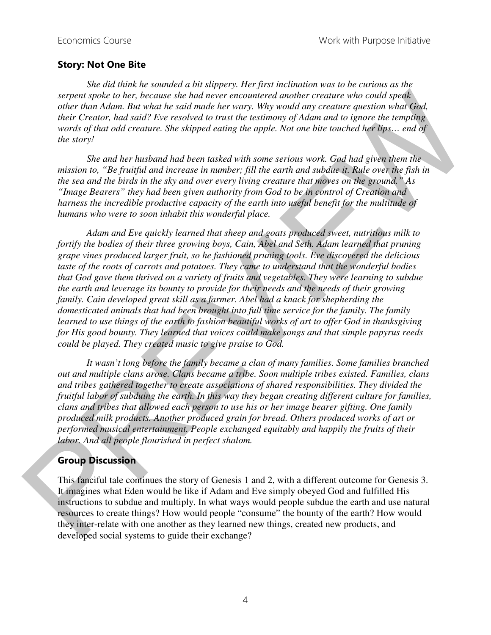### **Story: Not One Bite**

*She did think he sounded a bit slippery. Her first inclination was to be curious as the serpent spoke to her, because she had never encountered another creature who could speak other than Adam. But what he said made her wary. Why would any creature question what God, their Creator, had said? Eve resolved to trust the testimony of Adam and to ignore the tempting words of that odd creature. She skipped eating the apple. Not one bite touched her lips… end of the story!* 

*She and her husband had been tasked with some serious work. God had given them the mission to, "Be fruitful and increase in number; fill the earth and subdue it. Rule over the fish in the sea and the birds in the sky and over every living creature that moves on the ground." As "Image Bearers" they had been given authority from God to be in control of Creation and harness the incredible productive capacity of the earth into useful benefit for the multitude of humans who were to soon inhabit this wonderful place.* 

*Adam and Eve quickly learned that sheep and goats produced sweet, nutritious milk to fortify the bodies of their three growing boys, Cain, Abel and Seth. Adam learned that pruning grape vines produced larger fruit, so he fashioned pruning tools. Eve discovered the delicious taste of the roots of carrots and potatoes. They came to understand that the wonderful bodies that God gave them thrived on a variety of fruits and vegetables. They were learning to subdue the earth and leverage its bounty to provide for their needs and the needs of their growing family. Cain developed great skill as a farmer. Abel had a knack for shepherding the domesticated animals that had been brought into full time service for the family. The family learned to use things of the earth to fashion beautiful works of art to offer God in thanksgiving for His good bounty. They learned that voices could make songs and that simple papyrus reeds could be played. They created music to give praise to God.*  strepent space to her, he cause she had never encontiered another creature who could speed.<br>This function that the such a state of creation of the creation of the creation of the creation of the creation of the creation o

*It wasn't long before the family became a clan of many families. Some families branched out and multiple clans arose. Clans became a tribe. Soon multiple tribes existed. Families, clans and tribes gathered together to create associations of shared responsibilities. They divided the fruitful labor of subduing the earth. In this way they began creating different culture for families, clans and tribes that allowed each person to use his or her image bearer gifting. One family produced milk products. Another produced grain for bread. Others produced works of art or performed musical entertainment. People exchanged equitably and happily the fruits of their labor. And all people flourished in perfect shalom.* 

### **Group Discussion**

This fanciful tale continues the story of Genesis 1 and 2, with a different outcome for Genesis 3. It imagines what Eden would be like if Adam and Eve simply obeyed God and fulfilled His instructions to subdue and multiply. In what ways would people subdue the earth and use natural resources to create things? How would people "consume" the bounty of the earth? How would they inter-relate with one another as they learned new things, created new products, and developed social systems to guide their exchange?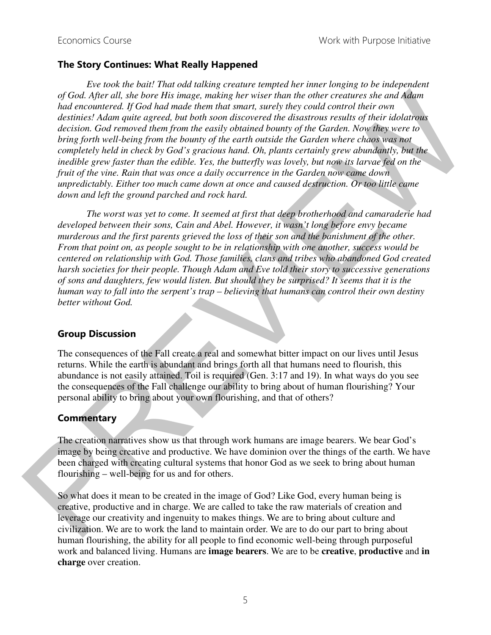### **The Story Continues: What Really Happened**

*Eve took the bait! That odd talking creature tempted her inner longing to be independent of God. After all, she bore His image, making her wiser than the other creatures she and Adam had encountered. If God had made them that smart, surely they could control their own destinies! Adam quite agreed, but both soon discovered the disastrous results of their idolatrous decision. God removed them from the easily obtained bounty of the Garden. Now they were to bring forth well-being from the bounty of the earth outside the Garden where chaos was not completely held in check by God's gracious hand. Oh, plants certainly grew abundantly, but the inedible grew faster than the edible. Yes, the butterfly was lovely, but now its larvae fed on the fruit of the vine. Rain that was once a daily occurrence in the Garden now came down unpredictably. Either too much came down at once and caused destruction. Or too little came down and left the ground parched and rock hard.*  of  $\det A$ , the hore this image, modes in the other than the other criticals and Adam<br>had encountered. If Ocal had made then that smart, surely they could control their osti<br>dentice Adam paid agreed, both both som disconver

*The worst was yet to come. It seemed at first that deep brotherhood and camaraderie had developed between their sons, Cain and Abel. However, it wasn't long before envy became murderous and the first parents grieved the loss of their son and the banishment of the other. From that point on, as people sought to be in relationship with one another, success would be centered on relationship with God. Those families, clans and tribes who abandoned God created harsh societies for their people. Though Adam and Eve told their story to successive generations of sons and daughters, few would listen. But should they be surprised? It seems that it is the human way to fall into the serpent's trap – believing that humans can control their own destiny better without God.* 

### **Group Discussion**

The consequences of the Fall create a real and somewhat bitter impact on our lives until Jesus returns. While the earth is abundant and brings forth all that humans need to flourish, this abundance is not easily attained. Toil is required (Gen. 3:17 and 19). In what ways do you see the consequences of the Fall challenge our ability to bring about of human flourishing? Your personal ability to bring about your own flourishing, and that of others?

### **Commentary**

The creation narratives show us that through work humans are image bearers. We bear God's image by being creative and productive. We have dominion over the things of the earth. We have been charged with creating cultural systems that honor God as we seek to bring about human flourishing – well-being for us and for others.

So what does it mean to be created in the image of God? Like God, every human being is creative, productive and in charge. We are called to take the raw materials of creation and leverage our creativity and ingenuity to makes things. We are to bring about culture and civilization. We are to work the land to maintain order. We are to do our part to bring about human flourishing, the ability for all people to find economic well-being through purposeful work and balanced living. Humans are **image bearers**. We are to be **creative**, **productive** and **in charge** over creation.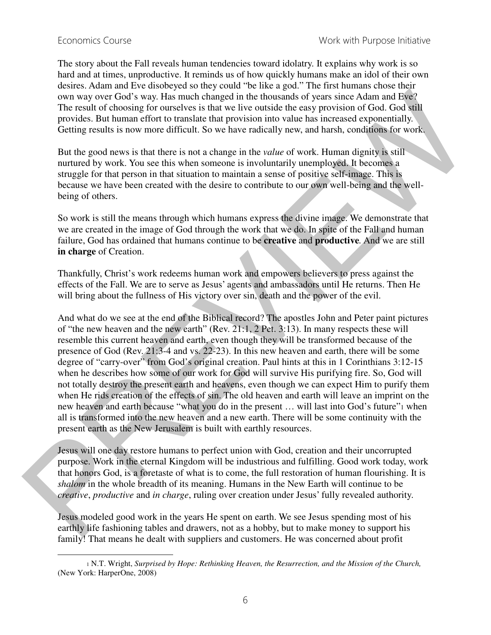$\overline{a}$ 

The story about the Fall reveals human tendencies toward idolatry. It explains why work is so hard and at times, unproductive. It reminds us of how quickly humans make an idol of their own desires. Adam and Eve disobeyed so they could "be like a god." The first humans chose their own way over God's way. Has much changed in the thousands of years since Adam and Eve? The result of choosing for ourselves is that we live outside the easy provision of God. God still provides. But human effort to translate that provision into value has increased exponentially. Getting results is now more difficult. So we have radically new, and harsh, conditions for work.

But the good news is that there is not a change in the *value* of work. Human dignity is still nurtured by work. You see this when someone is involuntarily unemployed. It becomes a struggle for that person in that situation to maintain a sense of positive self-image. This is because we have been created with the desire to contribute to our own well-being and the wellbeing of others.

So work is still the means through which humans express the divine image. We demonstrate that we are created in the image of God through the work that we do. In spite of the Fall and human failure, God has ordained that humans continue to be **creative** and **productive***.* And we are still **in charge** of Creation.

Thankfully, Christ's work redeems human work and empowers believers to press against the effects of the Fall. We are to serve as Jesus' agents and ambassadors until He returns. Then He will bring about the fullness of His victory over sin, death and the power of the evil.

And what do we see at the end of the Biblical record? The apostles John and Peter paint pictures of "the new heaven and the new earth" (Rev. 21:1, 2 Pet. 3:13). In many respects these will resemble this current heaven and earth, even though they will be transformed because of the presence of God (Rev. 21:3-4 and vs. 22-23). In this new heaven and earth, there will be some degree of "carry-over" from God's original creation. Paul hints at this in 1 Corinthians 3:12-15 when he describes how some of our work for God will survive His purifying fire. So, God will not totally destroy the present earth and heavens, even though we can expect Him to purify them when He rids creation of the effects of sin. The old heaven and earth will leave an imprint on the new heaven and earth because "what you do in the present … will last into God's future"1 when all is transformed into the new heaven and a new earth. There will be some continuity with the present earth as the New Jerusalem is built with earthly resources. own way over God's vay. Has used: the discussion of years aire Admin and Bay-<br>The result of choosing for ourselves is fair we five outside the gasy provision of God. God with<br>provides. But human effort, to range the three

Jesus will one day restore humans to perfect union with God, creation and their uncorrupted purpose. Work in the eternal Kingdom will be industrious and fulfilling. Good work today, work that honors God, is a foretaste of what is to come, the full restoration of human flourishing. It is *shalom* in the whole breadth of its meaning. Humans in the New Earth will continue to be *creative*, *productive* and *in charge*, ruling over creation under Jesus' fully revealed authority.

Jesus modeled good work in the years He spent on earth. We see Jesus spending most of his earthly life fashioning tables and drawers, not as a hobby, but to make money to support his family! That means he dealt with suppliers and customers. He was concerned about profit

<sup>1</sup> N.T. Wright, *Surprised by Hope: Rethinking Heaven, the Resurrection, and the Mission of the Church,*  (New York: HarperOne, 2008)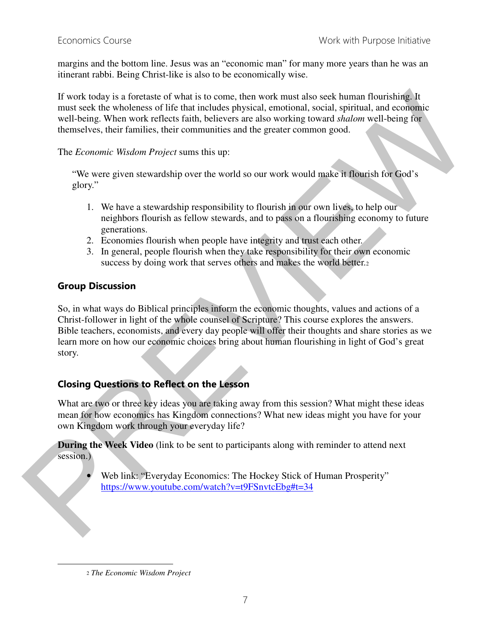margins and the bottom line. Jesus was an "economic man" for many more years than he was an itinerant rabbi. Being Christ-like is also to be economically wise.

If work today is a foretaste of what is to come, then work must also seek human flourishing. It must seek the wholeness of life that includes physical, emotional, social, spiritual, and economic well-being. When work reflects faith, believers are also working toward *shalom* well-being for themselves, their families, their communities and the greater common good.

The *Economic Wisdom Project* sums this up:

"We were given stewardship over the world so our work would make it flourish for God's glory."

- 1. We have a stewardship responsibility to flourish in our own lives, to help our neighbors flourish as fellow stewards, and to pass on a flourishing economy to future generations.
- 2. Economies flourish when people have integrity and trust each other.
- 3. In general, people flourish when they take responsibility for their own economic success by doing work that serves others and makes the world better.

### **Group Discussion**

So, in what ways do Biblical principles inform the economic thoughts, values and actions of a Christ-follower in light of the whole counsel of Scripture? This course explores the answers. Bible teachers, economists, and every day people will offer their thoughts and share stories as we learn more on how our economic choices bring about human flourishing in light of God's great story. If work today is a foreclast of what is to come, then work must also est-human flourishing line<br>
must seek the wholeness of life that includes physical, emotional, social, sprittaal, and consinues<br>
with leaving When work

### **Closing Questions to Reflect on the Lesson**

What are two or three key ideas you are taking away from this session? What might these ideas mean for how economics has Kingdom connections? What new ideas might you have for your own Kingdom work through your everyday life?

**During the Week Video** (link to be sent to participants along with reminder to attend next session.)

• Web link: "Everyday Economics: The Hockey Stick of Human Prosperity" https://www.youtube.com/watch?v=t9FSnvtcEbg#t=34

l

<sup>2</sup> *The Economic Wisdom Project*